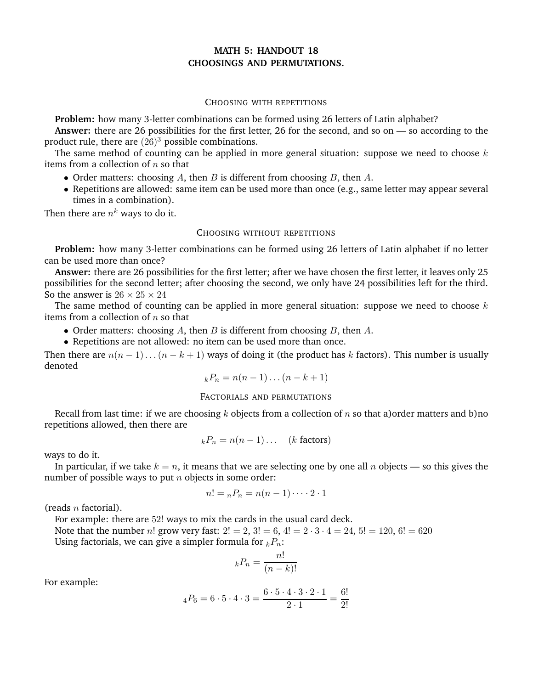# **MATH 5: HANDOUT 18 CHOOSINGS AND PERMUTATIONS.**

#### CHOOSING WITH REPETITIONS

**Problem:** how many 3-letter combinations can be formed using 26 letters of Latin alphabet?

**Answer:** there are 26 possibilities for the first letter, 26 for the second, and so on — so according to the product rule, there are  $(26)^3$  possible combinations.

The same method of counting can be applied in more general situation: suppose we need to choose  $k$ items from a collection of  $n$  so that

- Order matters: choosing A, then B is different from choosing B, then A.
- Repetitions are allowed: same item can be used more than once (e.g., same letter may appear several times in a combination).

Then there are  $n^{\pmb{k}}$  ways to do it.

### CHOOSING WITHOUT REPETITIONS

**Problem:** how many 3-letter combinations can be formed using 26 letters of Latin alphabet if no letter can be used more than once?

**Answer:** there are 26 possibilities for the first letter; after we have chosen the first letter, it leaves only 25 possibilities for the second letter; after choosing the second, we only have 24 possibilities left for the third. So the answer is  $26 \times 25 \times 24$ 

The same method of counting can be applied in more general situation: suppose we need to choose  $k$ items from a collection of  $n$  so that

- Order matters: choosing A, then B is different from choosing B, then  $A$ .
- Repetitions are not allowed: no item can be used more than once.

Then there are  $n(n-1)...(n-k+1)$  ways of doing it (the product has k factors). This number is usually denoted

$$
{}_{k}P_{n}=n(n-1)\ldots(n-k+1)
$$

### FACTORIALS AND PERMUTATIONS

Recall from last time: if we are choosing k objects from a collection of n so that a)order matters and b)no repetitions allowed, then there are

$$
{}_{k}P_{n} = n(n-1)\dots \quad (k \text{ factors})
$$

ways to do it.

In particular, if we take  $k = n$ , it means that we are selecting one by one all n objects — so this gives the number of possible ways to put  $n$  objects in some order:

$$
n! = {}_{n}P_{n} = n(n-1)\cdots 2 \cdot 1
$$

(reads  $n$  factorial).

For example: there are 52! ways to mix the cards in the usual card deck. Note that the number n! grow very fast:  $2! = 2$ ,  $3! = 6$ ,  $4! = 2 \cdot 3 \cdot 4 = 24$ ,  $5! = 120$ ,  $6! = 620$ Using factorials, we can give a simpler formula for  $k_2P_n$ :

$$
{}_{k}P_{n} = \frac{n!}{(n-k)!}
$$

For example:

$$
{}_{4}P_{6} = 6 \cdot 5 \cdot 4 \cdot 3 = \frac{6 \cdot 5 \cdot 4 \cdot 3 \cdot 2 \cdot 1}{2 \cdot 1} = \frac{6!}{2!}
$$